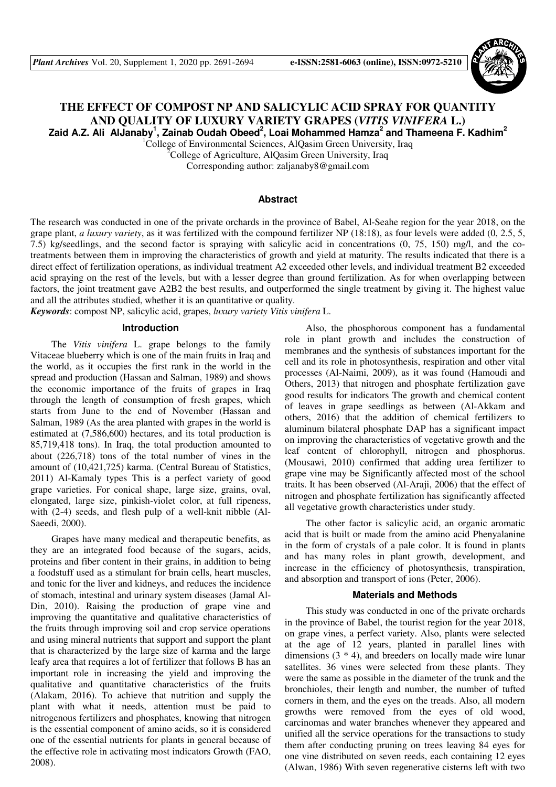

# **THE EFFECT OF COMPOST NP AND SALICYLIC ACID SPRAY FOR QUANTITY AND QUALITY OF LUXURY VARIETY GRAPES (***VITIS VINIFERA* **L.) Zaid A.Z. Ali AlJanaby<sup>1</sup> , Zainab Oudah Obeed<sup>2</sup> , Loai Mohammed Hamza<sup>2</sup> and Thameena F. Kadhim<sup>2</sup>**

<sup>1</sup>College of Environmental Sciences, AlQasim Green University, Iraq

<sup>2</sup>College of Agriculture, AlQasim Green University, Iraq Corresponding author: zaljanaby8@gmail.com

# **Abstract**

The research was conducted in one of the private orchards in the province of Babel, Al-Seahe region for the year 2018, on the grape plant, *a luxury variety*, as it was fertilized with the compound fertilizer NP (18:18), as four levels were added (0, 2.5, 5, 7.5) kg/seedlings, and the second factor is spraying with salicylic acid in concentrations (0, 75, 150) mg/l, and the cotreatments between them in improving the characteristics of growth and yield at maturity. The results indicated that there is a direct effect of fertilization operations, as individual treatment A2 exceeded other levels, and individual treatment B2 exceeded acid spraying on the rest of the levels, but with a lesser degree than ground fertilization. As for when overlapping between factors, the joint treatment gave A2B2 the best results, and outperformed the single treatment by giving it. The highest value and all the attributes studied, whether it is an quantitative or quality.

*Keywords*: compost NP, salicylic acid, grapes, *luxury variety Vitis vinifera* L.

# **Introduction**

The *Vitis vinifera* L. grape belongs to the family Vitaceae blueberry which is one of the main fruits in Iraq and the world, as it occupies the first rank in the world in the spread and production (Hassan and Salman, 1989) and shows the economic importance of the fruits of grapes in Iraq through the length of consumption of fresh grapes, which starts from June to the end of November (Hassan and Salman, 1989 (As the area planted with grapes in the world is estimated at (7,586,600) hectares, and its total production is 85,719,418 tons). In Iraq, the total production amounted to about (226,718) tons of the total number of vines in the amount of (10,421,725) karma. (Central Bureau of Statistics, 2011) Al-Kamaly types This is a perfect variety of good grape varieties. For conical shape, large size, grains, oval, elongated, large size, pinkish-violet color, at full ripeness, with (2-4) seeds, and flesh pulp of a well-knit nibble (Al-Saeedi, 2000).

Grapes have many medical and therapeutic benefits, as they are an integrated food because of the sugars, acids, proteins and fiber content in their grains, in addition to being a foodstuff used as a stimulant for brain cells, heart muscles, and tonic for the liver and kidneys, and reduces the incidence of stomach, intestinal and urinary system diseases (Jamal Al-Din, 2010). Raising the production of grape vine and improving the quantitative and qualitative characteristics of the fruits through improving soil and crop service operations and using mineral nutrients that support and support the plant that is characterized by the large size of karma and the large leafy area that requires a lot of fertilizer that follows B has an important role in increasing the yield and improving the qualitative and quantitative characteristics of the fruits (Alakam, 2016). To achieve that nutrition and supply the plant with what it needs, attention must be paid to nitrogenous fertilizers and phosphates, knowing that nitrogen is the essential component of amino acids, so it is considered one of the essential nutrients for plants in general because of the effective role in activating most indicators Growth (FAO, 2008).

Also, the phosphorous component has a fundamental role in plant growth and includes the construction of membranes and the synthesis of substances important for the cell and its role in photosynthesis, respiration and other vital processes (Al-Naimi, 2009), as it was found (Hamoudi and Others, 2013) that nitrogen and phosphate fertilization gave good results for indicators The growth and chemical content of leaves in grape seedlings as between (Al-Akkam and others, 2016) that the addition of chemical fertilizers to aluminum bilateral phosphate DAP has a significant impact on improving the characteristics of vegetative growth and the leaf content of chlorophyll, nitrogen and phosphorus. (Mousawi, 2010) confirmed that adding urea fertilizer to grape vine may be Significantly affected most of the school traits. It has been observed (Al-Araji, 2006) that the effect of nitrogen and phosphate fertilization has significantly affected all vegetative growth characteristics under study.

The other factor is salicylic acid, an organic aromatic acid that is built or made from the amino acid Phenyalanine in the form of crystals of a pale color. It is found in plants and has many roles in plant growth, development, and increase in the efficiency of photosynthesis, transpiration, and absorption and transport of ions (Peter, 2006).

#### **Materials and Methods**

This study was conducted in one of the private orchards in the province of Babel, the tourist region for the year 2018, on grape vines, a perfect variety. Also, plants were selected at the age of 12 years, planted in parallel lines with dimensions (3 \* 4), and breeders on locally made wire lunar satellites. 36 vines were selected from these plants. They were the same as possible in the diameter of the trunk and the bronchioles, their length and number, the number of tufted corners in them, and the eyes on the treads. Also, all modern growths were removed from the eyes of old wood, carcinomas and water branches whenever they appeared and unified all the service operations for the transactions to study them after conducting pruning on trees leaving 84 eyes for one vine distributed on seven reeds, each containing 12 eyes (Alwan, 1986) With seven regenerative cisterns left with two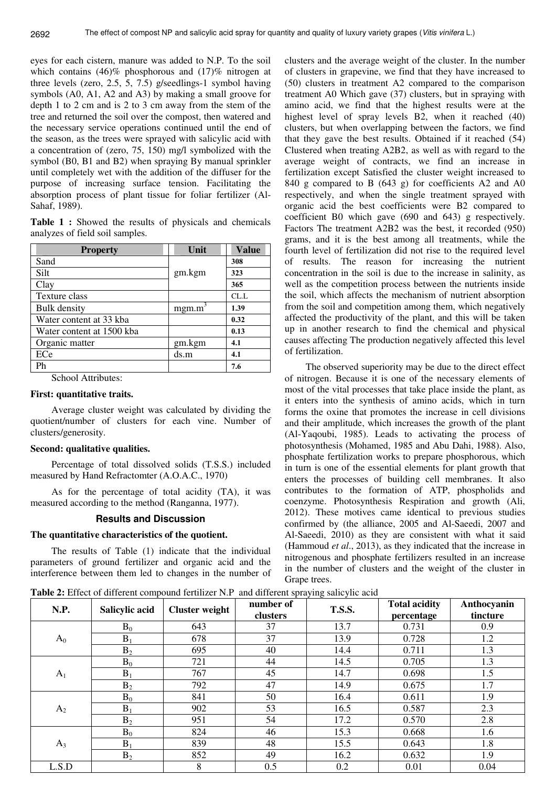eyes for each cistern, manure was added to N.P. To the soil which contains (46)% phosphorous and (17)% nitrogen at three levels (zero, 2.5, 5, 7.5) g/seedlings-1 symbol having symbols (A0, A1, A2 and A3) by making a small groove for depth 1 to 2 cm and is 2 to 3 cm away from the stem of the tree and returned the soil over the compost, then watered and the necessary service operations continued until the end of the season, as the trees were sprayed with salicylic acid with a concentration of (zero, 75, 150) mg/l symbolized with the symbol (B0, B1 and B2) when spraying By manual sprinkler until completely wet with the addition of the diffuser for the purpose of increasing surface tension. Facilitating the absorption process of plant tissue for foliar fertilizer (Al-Sahaf, 1989).

**Table 1 :** Showed the results of physicals and chemicals analyzes of field soil samples.

| <b>Property</b>           | Unit   | <b>Value</b> |
|---------------------------|--------|--------------|
| Sand                      |        | 308          |
| Silt                      | gm.kgm | 323          |
| Clay                      |        | 365          |
| Texture class             |        | CL.L         |
| <b>Bulk</b> density       | mgm.m  | 1.39         |
| Water content at 33 kba   |        | 0.32         |
| Water content at 1500 kba |        | 0.13         |
| Organic matter            | gm.kgm | 4.1          |
| ECe                       | ds.m   | 4.1          |
| Ph                        |        | 7.6          |

School Attributes:

# **First: quantitative traits.**

Average cluster weight was calculated by dividing the quotient/number of clusters for each vine. Number of clusters/generosity.

## **Second: qualitative qualities.**

Percentage of total dissolved solids (T.S.S.) included measured by Hand Refractomter (A.O.A.C., 1970)

As for the percentage of total acidity (TA), it was measured according to the method (Ranganna, 1977).

### **Results and Discussion**

### **The quantitative characteristics of the quotient.**

The results of Table (1) indicate that the individual parameters of ground fertilizer and organic acid and the interference between them led to changes in the number of

clusters and the average weight of the cluster. In the number of clusters in grapevine, we find that they have increased to (50) clusters in treatment A2 compared to the comparison treatment A0 Which gave (37) clusters, but in spraying with amino acid, we find that the highest results were at the highest level of spray levels B2, when it reached (40) clusters, but when overlapping between the factors, we find that they gave the best results. Obtained if it reached (54) Clustered when treating A2B2, as well as with regard to the average weight of contracts, we find an increase in fertilization except Satisfied the cluster weight increased to 840 g compared to B (643 g) for coefficients A2 and A0 respectively, and when the single treatment sprayed with organic acid the best coefficients were B2 compared to coefficient B0 which gave (690 and 643) g respectively. Factors The treatment A2B2 was the best, it recorded (950) grams, and it is the best among all treatments, while the fourth level of fertilization did not rise to the required level of results. The reason for increasing the nutrient concentration in the soil is due to the increase in salinity, as well as the competition process between the nutrients inside the soil, which affects the mechanism of nutrient absorption from the soil and competition among them, which negatively affected the productivity of the plant, and this will be taken up in another research to find the chemical and physical causes affecting The production negatively affected this level of fertilization.

The observed superiority may be due to the direct effect of nitrogen. Because it is one of the necessary elements of most of the vital processes that take place inside the plant, as it enters into the synthesis of amino acids, which in turn forms the oxine that promotes the increase in cell divisions and their amplitude, which increases the growth of the plant (Al-Yaqoubi, 1985). Leads to activating the process of photosynthesis (Mohamed, 1985 and Abu Dahi, 1988). Also, phosphate fertilization works to prepare phosphorous, which in turn is one of the essential elements for plant growth that enters the processes of building cell membranes. It also contributes to the formation of ATP, phospholids and coenzyme. Photosynthesis Respiration and growth (Ali, 2012). These motives came identical to previous studies confirmed by (the alliance, 2005 and Al-Saeedi, 2007 and Al-Saeedi, 2010) as they are consistent with what it said (Hammoud *et al*., 2013), as they indicated that the increase in nitrogenous and phosphate fertilizers resulted in an increase in the number of clusters and the weight of the cluster in Grape trees.

**Table 2:** Effect of different compound fertilizer N.P and different spraying salicylic acid

| N.P.           | Salicylic acid | <b>Cluster weight</b> | number of<br>clusters | $\circ$<br><b>T.S.S.</b> | <b>Total acidity</b><br>percentage | Anthocyanin<br>tincture |
|----------------|----------------|-----------------------|-----------------------|--------------------------|------------------------------------|-------------------------|
| $A_0$          | $B_0$          | 643                   | 37                    | 13.7                     | 0.731                              | 0.9                     |
|                | $B_1$          | 678                   | 37                    | 13.9                     | 0.728                              | 1.2                     |
|                | B <sub>2</sub> | 695                   | 40                    | 14.4                     | 0.711                              | 1.3                     |
| $A_1$          | $B_0$          | 721                   | 44                    | 14.5                     | 0.705                              | 1.3                     |
|                | $B_1$          | 767                   | 45                    | 14.7                     | 0.698                              | 1.5                     |
|                | B <sub>2</sub> | 792                   | 47                    | 14.9                     | 0.675                              | 1.7                     |
| A <sub>2</sub> | $B_0$          | 841                   | 50                    | 16.4                     | 0.611                              | 1.9                     |
|                | $B_1$          | 902                   | 53                    | 16.5                     | 0.587                              | 2.3                     |
|                | B <sub>2</sub> | 951                   | 54                    | 17.2                     | 0.570                              | 2.8                     |
| $A_3$          | $B_0$          | 824                   | 46                    | 15.3                     | 0.668                              | 1.6                     |
|                | $B_1$          | 839                   | 48                    | 15.5                     | 0.643                              | 1.8                     |
|                | B <sub>2</sub> | 852                   | 49                    | 16.2                     | 0.632                              | 1.9                     |
| L.S.D          |                | 8                     | 0.5                   | 0.2                      | 0.01                               | 0.04                    |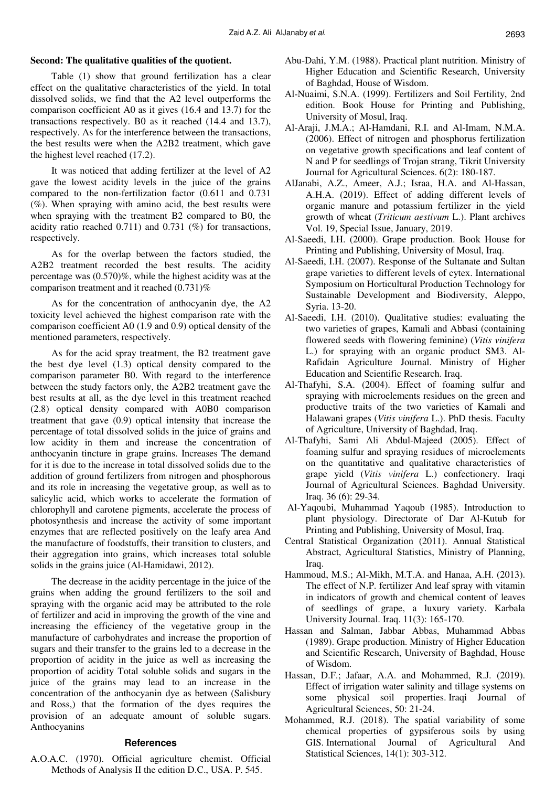### **Second: The qualitative qualities of the quotient.**

Table (1) show that ground fertilization has a clear effect on the qualitative characteristics of the yield. In total dissolved solids, we find that the A2 level outperforms the comparison coefficient A0 as it gives (16.4 and 13.7) for the transactions respectively. B0 as it reached (14.4 and 13.7), respectively. As for the interference between the transactions, the best results were when the A2B2 treatment, which gave the highest level reached (17.2).

It was noticed that adding fertilizer at the level of A2 gave the lowest acidity levels in the juice of the grains compared to the non-fertilization factor (0.611 and 0.731  $(\%)$ . When spraying with amino acid, the best results were when spraying with the treatment B2 compared to B0, the acidity ratio reached 0.711) and 0.731 (%) for transactions, respectively.

As for the overlap between the factors studied, the A2B2 treatment recorded the best results. The acidity percentage was (0.570)%, while the highest acidity was at the comparison treatment and it reached (0.731)%

As for the concentration of anthocyanin dye, the A2 toxicity level achieved the highest comparison rate with the comparison coefficient A0 (1.9 and 0.9) optical density of the mentioned parameters, respectively.

As for the acid spray treatment, the B2 treatment gave the best dye level (1.3) optical density compared to the comparison parameter B0. With regard to the interference between the study factors only, the A2B2 treatment gave the best results at all, as the dye level in this treatment reached (2.8) optical density compared with A0B0 comparison treatment that gave (0.9) optical intensity that increase the percentage of total dissolved solids in the juice of grains and low acidity in them and increase the concentration of anthocyanin tincture in grape grains. Increases The demand for it is due to the increase in total dissolved solids due to the addition of ground fertilizers from nitrogen and phosphorous and its role in increasing the vegetative group, as well as to salicylic acid, which works to accelerate the formation of chlorophyll and carotene pigments, accelerate the process of photosynthesis and increase the activity of some important enzymes that are reflected positively on the leafy area And the manufacture of foodstuffs, their transition to clusters, and their aggregation into grains, which increases total soluble solids in the grains juice (Al-Hamidawi, 2012).

The decrease in the acidity percentage in the juice of the grains when adding the ground fertilizers to the soil and spraying with the organic acid may be attributed to the role of fertilizer and acid in improving the growth of the vine and increasing the efficiency of the vegetative group in the manufacture of carbohydrates and increase the proportion of sugars and their transfer to the grains led to a decrease in the proportion of acidity in the juice as well as increasing the proportion of acidity Total soluble solids and sugars in the juice of the grains may lead to an increase in the concentration of the anthocyanin dye as between (Salisbury and Ross,) that the formation of the dyes requires the provision of an adequate amount of soluble sugars. Anthocyanins

### **References**

A.O.A.C. (1970). Official agriculture chemist. Official Methods of Analysis II the edition D.C., USA. P. 545.

- Abu-Dahi, Y.M. (1988). Practical plant nutrition. Ministry of Higher Education and Scientific Research, University of Baghdad, House of Wisdom.
- Al-Nuaimi, S.N.A. (1999). Fertilizers and Soil Fertility, 2nd edition. Book House for Printing and Publishing, University of Mosul, Iraq.
- Al-Araji, J.M.A.; Al-Hamdani, R.I. and Al-Imam, N.M.A. (2006). Effect of nitrogen and phosphorus fertilization on vegetative growth specifications and leaf content of N and P for seedlings of Trojan strang, Tikrit University Journal for Agricultural Sciences. 6(2): 180-187.
- AlJanabi, A.Z., Ameer, A.J.; Israa, H.A. and Al-Hassan, A.H.A. (2019). Effect of adding different levels of organic manure and potassium fertilizer in the yield growth of wheat (*Triticum aestivum* L.). Plant archives Vol. 19, Special Issue, January, 2019.
- Al-Saeedi, I.H. (2000). Grape production. Book House for Printing and Publishing, University of Mosul, Iraq.
- Al-Saeedi, I.H. (2007). Response of the Sultanate and Sultan grape varieties to different levels of cytex. International Symposium on Horticultural Production Technology for Sustainable Development and Biodiversity, Aleppo, Syria. 13-20.
- Al-Saeedi, I.H. (2010). Qualitative studies: evaluating the two varieties of grapes, Kamali and Abbasi (containing flowered seeds with flowering feminine) (*Vitis vinifera* L.) for spraying with an organic product SM3. Al-Rafidain Agriculture Journal. Ministry of Higher Education and Scientific Research. Iraq.
- Al-Thafyhi, S.A. (2004). Effect of foaming sulfur and spraying with microelements residues on the green and productive traits of the two varieties of Kamali and Halawani grapes (*Vitis vinifera* L.). PhD thesis. Faculty of Agriculture, University of Baghdad, Iraq.
- Al-Thafyhi, Sami Ali Abdul-Majeed (2005). Effect of foaming sulfur and spraying residues of microelements on the quantitative and qualitative characteristics of grape yield (*Vitis vinifera* L.) confectionery. Iraqi Journal of Agricultural Sciences. Baghdad University. Iraq. 36 (6): 29-34.
- Al-Yaqoubi, Muhammad Yaqoub (1985). Introduction to plant physiology. Directorate of Dar Al-Kutub for Printing and Publishing, University of Mosul, Iraq.
- Central Statistical Organization (2011). Annual Statistical Abstract, Agricultural Statistics, Ministry of Planning, Iraq.
- Hammoud, M.S.; Al-Mikh, M.T.A. and Hanaa, A.H. (2013). The effect of N.P. fertilizer And leaf spray with vitamin in indicators of growth and chemical content of leaves of seedlings of grape, a luxury variety. Karbala University Journal. Iraq. 11(3): 165-170.
- Hassan and Salman, Jabbar Abbas, Muhammad Abbas (1989). Grape production. Ministry of Higher Education and Scientific Research, University of Baghdad, House of Wisdom.
- Hassan, D.F.; Jafaar, A.A. and Mohammed, R.J. (2019). Effect of irrigation water salinity and tillage systems on some physical soil properties. Iraqi Journal of Agricultural Sciences, 50: 21-24.
- Mohammed, R.J. (2018). The spatial variability of some chemical properties of gypsiferous soils by using GIS. International Journal of Agricultural And Statistical Sciences, 14(1): 303-312.